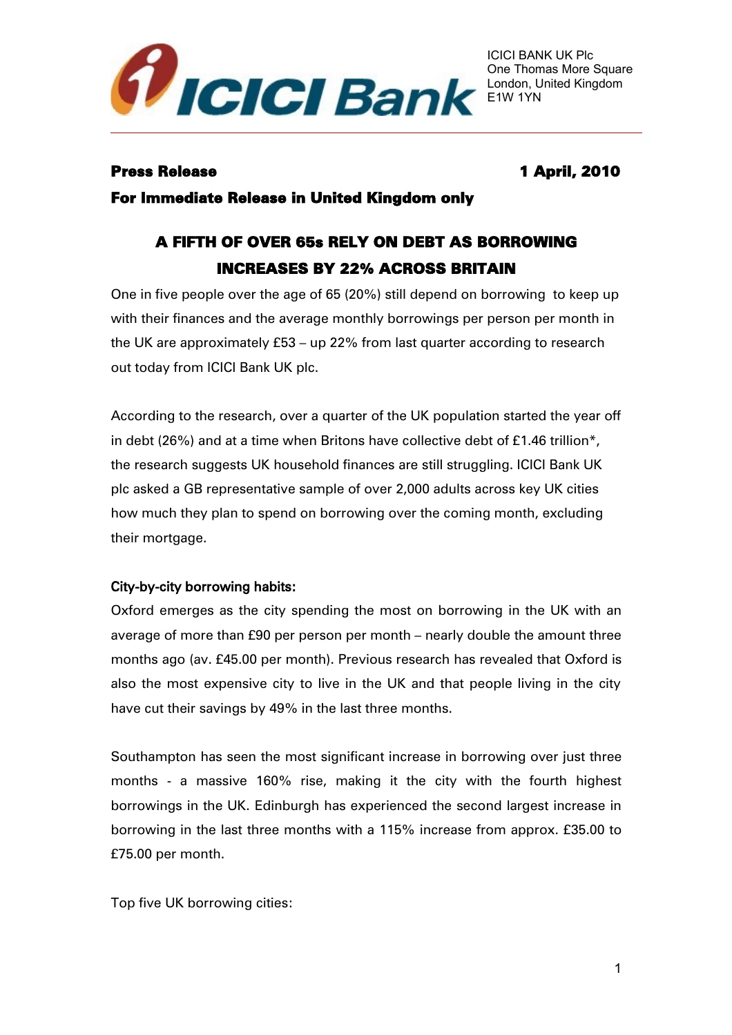

## Press Release 1 April, 2010

For Immediate Release in United Kingdom only

# A FIFTH OF OVER 65s RELY ON DEBT AS BORROWING INCREASES BY 22% ACROSS BRITAIN

One in five people over the age of 65 (20%) still depend on borrowing to keep up with their finances and the average monthly borrowings per person per month in the UK are approximately £53 – up 22% from last quarter according to research out today from ICICI Bank UK plc.

According to the research, over a quarter of the UK population started the year off in debt (26%) and at a time when Britons have collective debt of £1.46 trillion\*, the research suggests UK household finances are still struggling. ICICI Bank UK plc asked a GB representative sample of over 2,000 adults across key UK cities how much they plan to spend on borrowing over the coming month, excluding their mortgage.

## City-by-city borrowing habits:

Oxford emerges as the city spending the most on borrowing in the UK with an average of more than £90 per person per month – nearly double the amount three months ago (av. £45.00 per month). Previous research has revealed that Oxford is also the most expensive city to live in the UK and that people living in the city have cut their savings by 49% in the last three months.

Southampton has seen the most significant increase in borrowing over just three months - a massive 160% rise, making it the city with the fourth highest borrowings in the UK. Edinburgh has experienced the second largest increase in borrowing in the last three months with a 115% increase from approx. £35.00 to £75.00 per month.

Top five UK borrowing cities: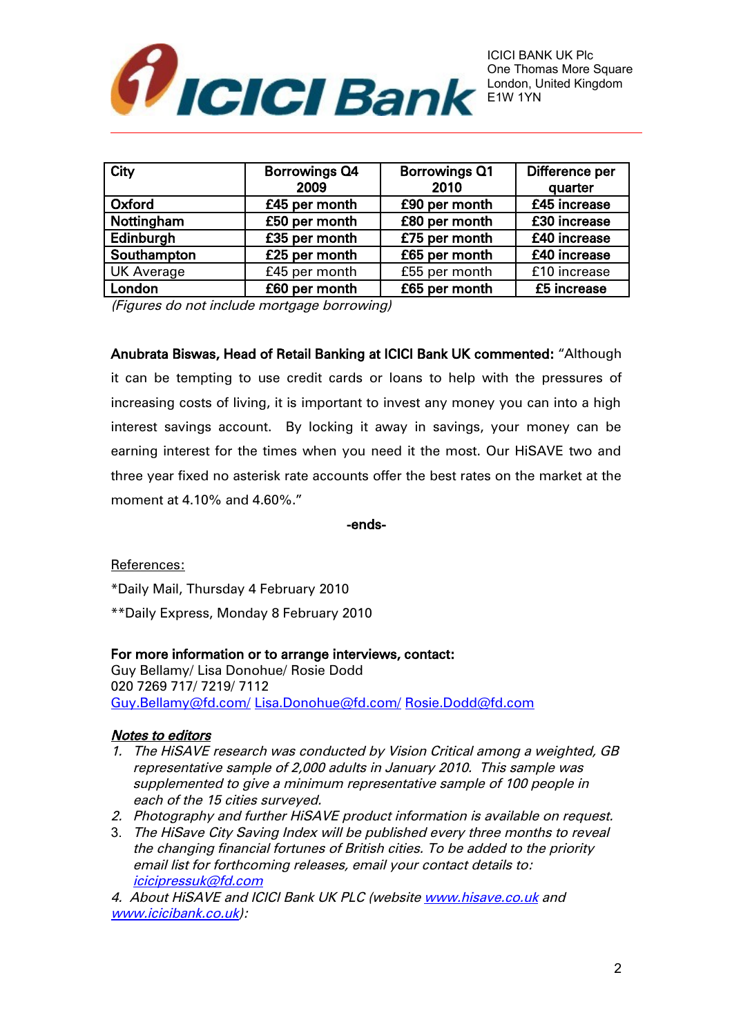

| City              | <b>Borrowings Q4</b> | <b>Borrowings Q1</b> | Difference per |
|-------------------|----------------------|----------------------|----------------|
|                   | 2009                 | 2010                 | quarter        |
| Oxford            | £45 per month        | £90 per month        | £45 increase   |
| Nottingham        | £50 per month        | £80 per month        | £30 increase   |
| Edinburgh         | £35 per month        | £75 per month        | £40 increase   |
| Southampton       | £25 per month        | £65 per month        | £40 increase   |
| <b>UK Average</b> | £45 per month        | £55 per month        | £10 increase   |
| London            | £60 per month        | £65 per month        | £5 increase    |

(Figures do not include mortgage borrowing)

Anubrata Biswas, Head of Retail Banking at ICICI Bank UK commented: "Although it can be tempting to use credit cards or loans to help with the pressures of increasing costs of living, it is important to invest any money you can into a high interest savings account. By locking it away in savings, your money can be earning interest for the times when you need it the most. Our HiSAVE two and three year fixed no asterisk rate accounts offer the best rates on the market at the moment at 4.10% and 4.60%."

-ends-

References:

\*Daily Mail, Thursday 4 February 2010

\*\*Daily Express, Monday 8 February 2010

### For more information or to arrange interviews, contact:

Guy Bellamy/ Lisa Donohue/ Rosie Dodd 020 7269 717/ 7219/ 7112 [Guy.Bellamy@fd.com/](mailto:Guy.Bellamy@fd.com/) [Lisa.Donohue@fd.com/](mailto:Lisa.Donohue@fd.com/) [Rosie.Dodd@fd.com](mailto:Rosie.Dodd@fd.com)

### Notes to editors

- 1. The HiSAVE research was conducted by Vision Critical among a weighted, GB representative sample of 2,000 adults in January 2010. This sample was supplemented to give a minimum representative sample of 100 people in each of the 15 cities surveyed.
- 2. Photography and further HiSAVE product information is available on request.
- 3. The HiSave City Saving Index will be published every three months to reveal the changing financial fortunes of British cities. To be added to the priority email list for forthcoming releases, email your contact details to: [icicipressuk@fd.com](mailto:icicipressuk@fd.com)

4. About HiSAVE and ICICI Bank UK PLC (website [www.hisave.co.uk](http://www.hisave.co.uk/) and [www.icicibank.co.uk\)](http://www.icicibank.co.uk/):